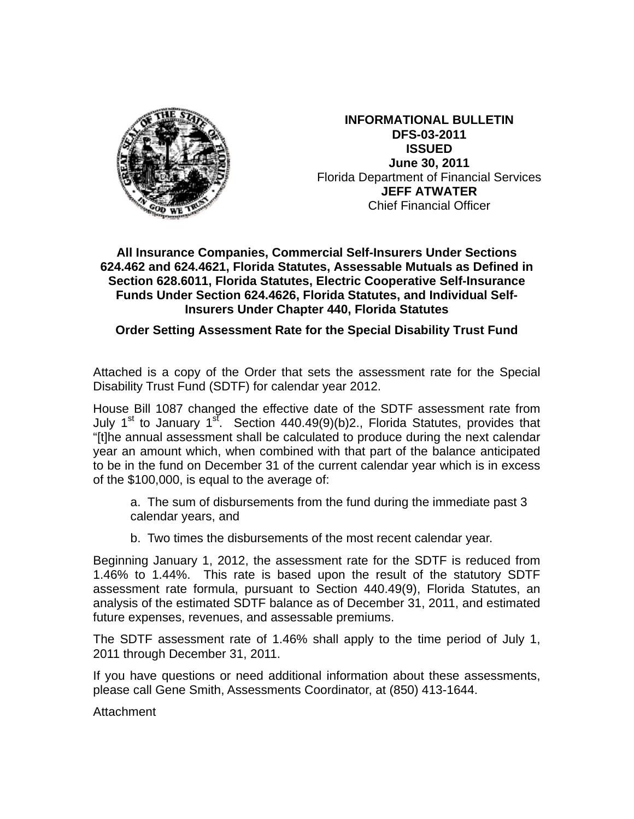

**INFORMATIONAL BULLETIN DFS-03-2011 ISSUED June 30, 2011**  Florida Department of Financial Services **JEFF ATWATER** Chief Financial Officer

## **All Insurance Companies, Commercial Self-Insurers Under Sections 624.462 and 624.4621, Florida Statutes, Assessable Mutuals as Defined in Section 628.6011, Florida Statutes, Electric Cooperative Self-Insurance Funds Under Section 624.4626, Florida Statutes, and Individual Self-Insurers Under Chapter 440, Florida Statutes**

# **Order Setting Assessment Rate for the Special Disability Trust Fund**

Attached is a copy of the Order that sets the assessment rate for the Special Disability Trust Fund (SDTF) for calendar year 2012.

House Bill 1087 changed the effective date of the SDTF assessment rate from July 1<sup>st</sup> to January 1<sup>st</sup>. Section 440.49(9)(b)2., Florida Statutes, provides that "[t]he annual assessment shall be calculated to produce during the next calendar year an amount which, when combined with that part of the balance anticipated to be in the fund on December 31 of the current calendar year which is in excess of the \$100,000, is equal to the average of:

a. The sum of disbursements from the fund during the immediate past 3 calendar years, and

b. Two times the disbursements of the most recent calendar year.

Beginning January 1, 2012, the assessment rate for the SDTF is reduced from 1.46% to 1.44%. This rate is based upon the result of the statutory SDTF assessment rate formula, pursuant to Section 440.49(9), Florida Statutes, an analysis of the estimated SDTF balance as of December 31, 2011, and estimated future expenses, revenues, and assessable premiums.

The SDTF assessment rate of 1.46% shall apply to the time period of July 1, 2011 through December 31, 2011.

If you have questions or need additional information about these assessments, please call Gene Smith, Assessments Coordinator, at (850) 413-1644.

Attachment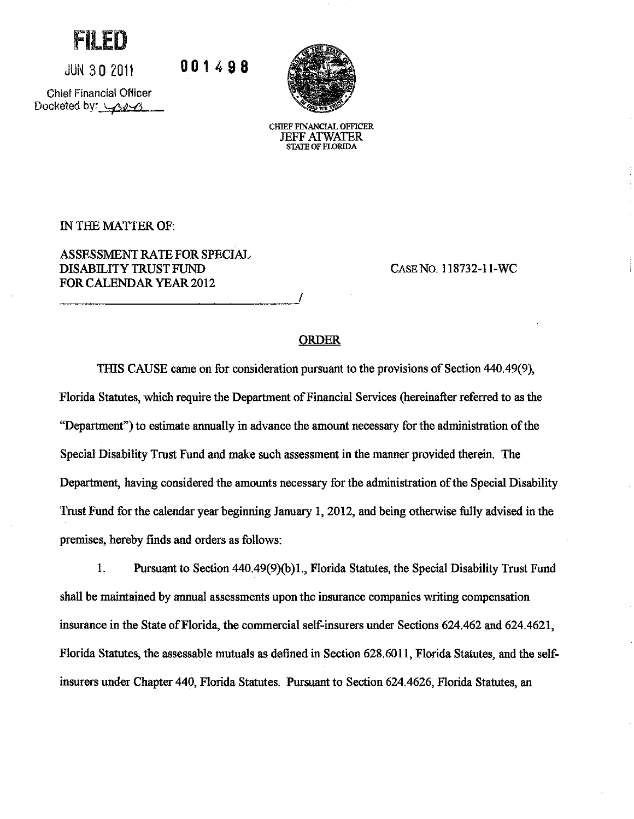rilei

**JUN 30 2011** 

001498

**Chief Financial Officer** Docketed by: 323



CHIEF FINANCIAL OFFICER **JEFF ATWATER**<br>STATE OF FLORIDA

IN THE MATTER OF:

ASSESSMENT RATE FOR SPECIAL **DISABILITY TRUST FUND** FOR CALENDAR YEAR 2012

CASE NO. 118732-11-WC

### **ORDER**

THIS CAUSE came on for consideration pursuant to the provisions of Section 440.49(9), Florida Statutes, which require the Department of Financial Services (hereinafter referred to as the "Department") to estimate annually in advance the amount necessary for the administration of the Special Disability Trust Fund and make such assessment in the manner provided therein. The Department, having considered the amounts necessary for the administration of the Special Disability Trust Fund for the calendar year beginning January 1, 2012, and being otherwise fully advised in the premises, hereby finds and orders as follows:

1. Pursuant to Section 440.49(9)(b)1., Florida Statutes, the Special Disability Trust Fund shall be maintained by annual assessments upon the insurance companies writing compensation insurance in the State of Florida, the commercial self-insurers under Sections 624.462 and 624.4621, Florida Statutes, the assessable mutuals as defined in Section 628.6011, Florida Statutes, and the selfinsurers under Chapter 440, Florida Statutes. Pursuant to Section 624.4626, Florida Statutes, an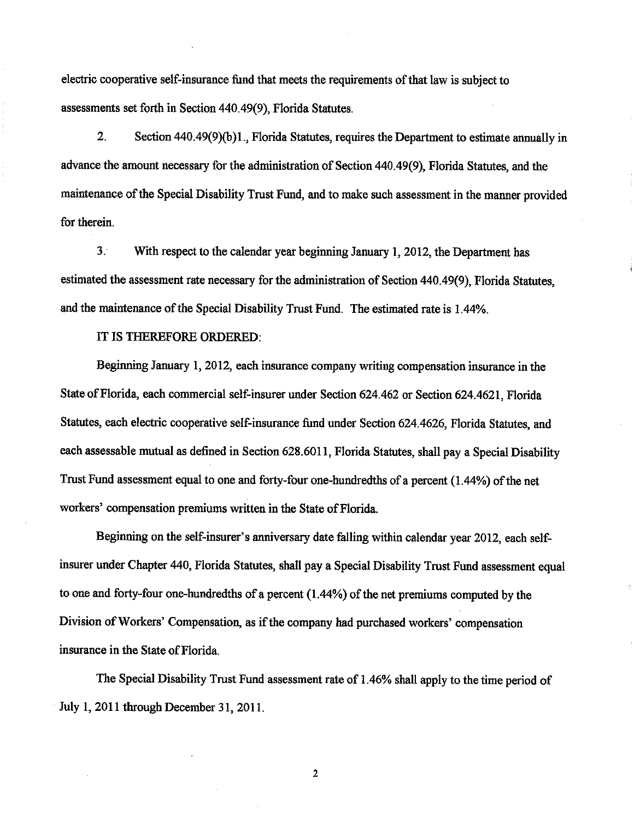electric cooperative self-insurance fund that meets the requirements of that law is subject to assessments set forth in Section 440.49(9), Florida Statutes.

 $2.$ Section 440.49(9)(b)1., Florida Statutes, requires the Department to estimate annually in advance the amount necessary for the administration of Section 440.49(9), Florida Statutes, and the maintenance of the Special Disability Trust Fund, and to make such assessment in the manner provided for therein.

 $3<sub>1</sub>$ With respect to the calendar year beginning January 1, 2012, the Department has estimated the assessment rate necessary for the administration of Section 440.49(9). Florida Statutes, and the maintenance of the Special Disability Trust Fund. The estimated rate is 1.44%.

#### IT IS THEREFORE ORDERED:

Beginning January 1, 2012, each insurance company writing compensation insurance in the State of Florida, each commercial self-insurer under Section 624.462 or Section 624.4621. Florida Statutes, each electric cooperative self-insurance fund under Section 624.4626, Florida Statutes, and each assessable mutual as defined in Section 628.6011, Florida Statutes, shall pay a Special Disability Trust Fund assessment equal to one and forty-four one-hundredths of a percent (1.44%) of the net workers' compensation premiums written in the State of Florida.

Beginning on the self-insurer's anniversary date falling within calendar year 2012, each selfinsurer under Chapter 440, Florida Statutes, shall pay a Special Disability Trust Fund assessment equal to one and forty-four one-hundredths of a percent  $(1.44\%)$  of the net premiums computed by the Division of Workers' Compensation, as if the company had purchased workers' compensation insurance in the State of Florida.

The Special Disability Trust Fund assessment rate of 1.46% shall apply to the time period of July 1, 2011 through December 31, 2011.

 $\overline{\mathbf{c}}$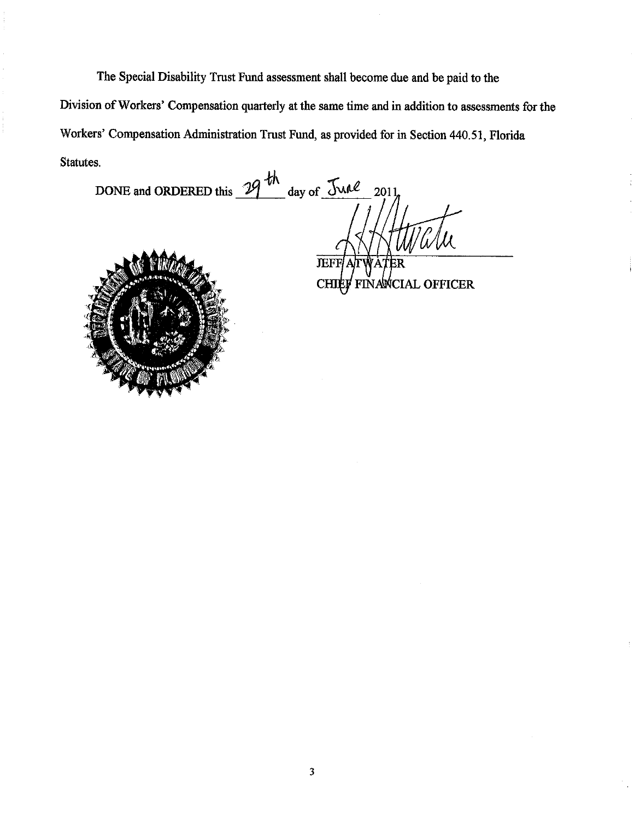The Special Disability Trust Fund assessment shall become due and be paid to the Division of Workers' Compensation quarterly at the same time and in addition to assessments for the Workers' Compensation Administration Trust Fund, as provided for in Section 440.51, Florida Statutes.

DONE and ORDERED this  $\frac{19}{10}$  day of  $\frac{\text{Jw1}}{2011}$ 



**JEFF** FINANCIAL OFFICER **CHIEF**